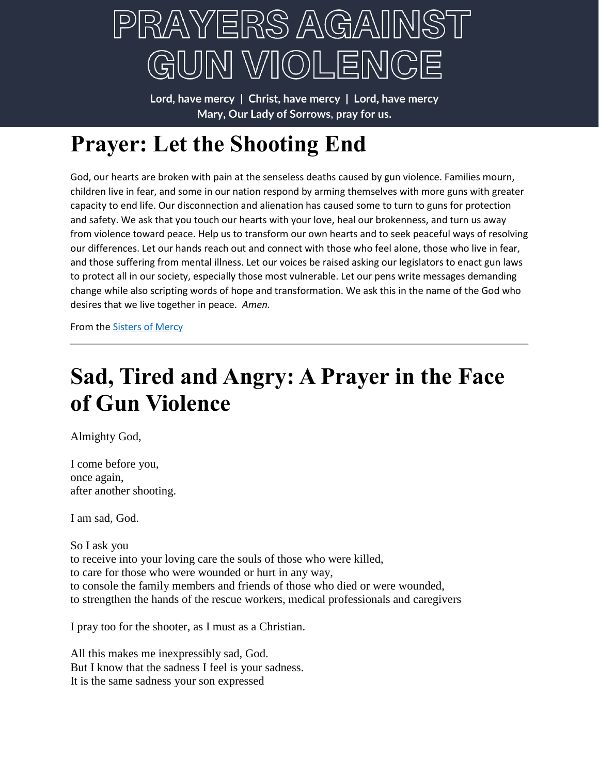

Lord, have mercy | Christ, have mercy | Lord, have mercy Mary, Our Lady of Sorrows, pray for us.

# **Prayer: Let the Shooting End**

God, our hearts are broken with pain at the senseless deaths caused by gun violence. Families mourn, children live in fear, and some in our nation respond by arming themselves with more guns with greater capacity to end life. Our disconnection and alienation has caused some to turn to guns for protection and safety. We ask that you touch our hearts with your love, heal our brokenness, and turn us away from violence toward peace. Help us to transform our own hearts and to seek peaceful ways of resolving our differences. Let our hands reach out and connect with those who feel alone, those who live in fear, and those suffering from mental illness. Let our voices be raised asking our legislators to enact gun laws to protect all in our society, especially those most vulnerable. Let our pens write messages demanding change while also scripting words of hope and transformation. We ask this in the name of the God who desires that we live together in peace. *Amen.*

From th[e Sisters of Mercy](https://sistersofmercy.org/resource/prayer-let-the-shooting-end-2/)

### **Sad, Tired and Angry: A Prayer in the Face of Gun Violence**

Almighty God,

I come before you, once again, after another shooting.

I am sad, God.

So I ask you to receive into your loving care the souls of those who were killed, to care for those who were wounded or hurt in any way, to console the family members and friends of those who died or were wounded, to strengthen the hands of the rescue workers, medical professionals and caregivers

I pray too for the shooter, as I must as a Christian.

All this makes me inexpressibly sad, God. But I know that the sadness I feel is your sadness. It is the same sadness your son expressed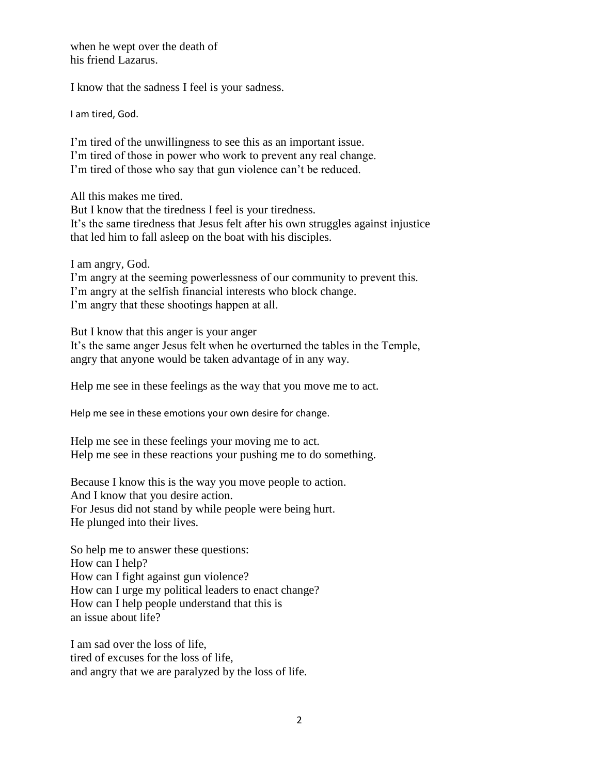when he wept over the death of his friend Lazarus.

I know that the sadness I feel is your sadness.

I am tired, God.

I'm tired of the unwillingness to see this as an important issue. I'm tired of those in power who work to prevent any real change. I'm tired of those who say that gun violence can't be reduced.

All this makes me tired.

But I know that the tiredness I feel is your tiredness. It's the same tiredness that Jesus felt after his own struggles against injustice that led him to fall asleep on the boat with his disciples.

I am angry, God.

I'm angry at the seeming powerlessness of our community to prevent this. I'm angry at the selfish financial interests who block change. I'm angry that these shootings happen at all.

But I know that this anger is your anger It's the same anger Jesus felt when he overturned the tables in the Temple, angry that anyone would be taken advantage of in any way.

Help me see in these feelings as the way that you move me to act.

Help me see in these emotions your own desire for change.

Help me see in these feelings your moving me to act. Help me see in these reactions your pushing me to do something.

Because I know this is the way you move people to action. And I know that you desire action. For Jesus did not stand by while people were being hurt. He plunged into their lives.

So help me to answer these questions: How can I help? How can I fight against gun violence? How can I urge my political leaders to enact change? How can I help people understand that this is an issue about life?

I am sad over the loss of life, tired of excuses for the loss of life, and angry that we are paralyzed by the loss of life.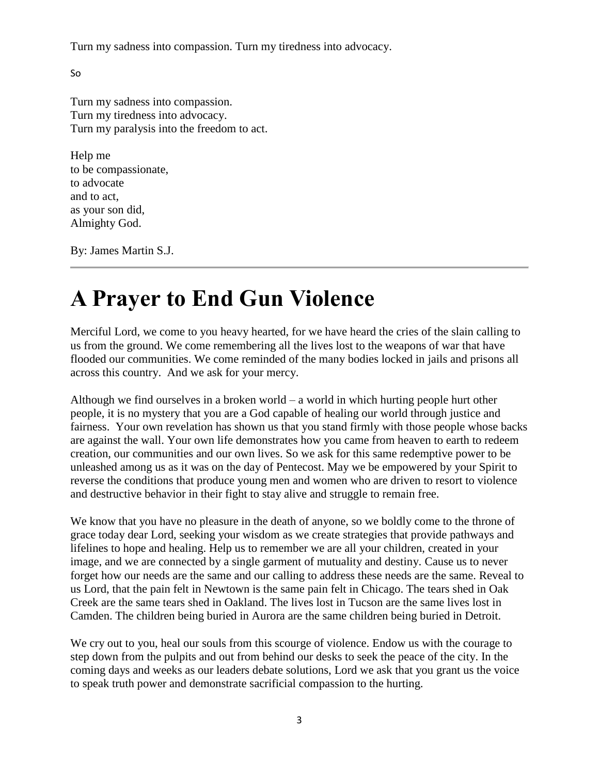Turn my sadness into compassion. Turn my tiredness into advocacy.

So

Turn my sadness into compassion. Turn my tiredness into advocacy. Turn my paralysis into the freedom to act.

Help me to be compassionate, to advocate and to act, as your son did, Almighty God.

By: James Martin S.J.

## **A Prayer to End Gun Violence**

Merciful Lord, we come to you heavy hearted, for we have heard the cries of the slain calling to us from the ground. We come remembering all the lives lost to the weapons of war that have flooded our communities. We come reminded of the many bodies locked in jails and prisons all across this country. And we ask for your mercy.

Although we find ourselves in a broken world – a world in which hurting people hurt other people, it is no mystery that you are a God capable of healing our world through justice and fairness. Your own revelation has shown us that you stand firmly with those people whose backs are against the wall. Your own life demonstrates how you came from heaven to earth to redeem creation, our communities and our own lives. So we ask for this same redemptive power to be unleashed among us as it was on the day of Pentecost. May we be empowered by your Spirit to reverse the conditions that produce young men and women who are driven to resort to violence and destructive behavior in their fight to stay alive and struggle to remain free.

We know that you have no pleasure in the death of anyone, so we boldly come to the throne of grace today dear Lord, seeking your wisdom as we create strategies that provide pathways and lifelines to hope and healing. Help us to remember we are all your children, created in your image, and we are connected by a single garment of mutuality and destiny. Cause us to never forget how our needs are the same and our calling to address these needs are the same. Reveal to us Lord, that the pain felt in Newtown is the same pain felt in Chicago. The tears shed in Oak Creek are the same tears shed in Oakland. The lives lost in Tucson are the same lives lost in Camden. The children being buried in Aurora are the same children being buried in Detroit.

We cry out to you, heal our souls from this scourge of violence. Endow us with the courage to step down from the pulpits and out from behind our desks to seek the peace of the city. In the coming days and weeks as our leaders debate solutions, Lord we ask that you grant us the voice to speak truth power and demonstrate sacrificial compassion to the hurting.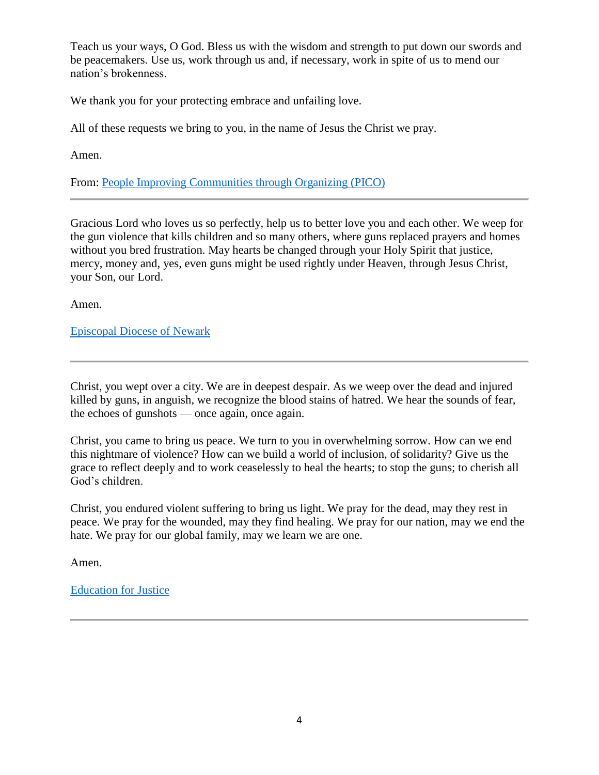Teach us your ways, O God. Bless us with the wisdom and strength to put down our swords and be peacemakers. Use us, work through us and, if necessary, work in spite of us to mend our nation's brokenness.

We thank you for your protecting embrace and unfailing love.

All of these requests we bring to you, in the name of Jesus the Christ we pray.

Amen.

From: [People Improving Communities through Organizing \(PICO\)](https://www.faithinaction.org/)

Gracious Lord who loves us so perfectly, help us to better love you and each other. We weep for the gun violence that kills children and so many others, where guns replaced prayers and homes without you bred frustration. May hearts be changed through your Holy Spirit that justice, mercy, money and, yes, even guns might be used rightly under Heaven, through Jesus Christ, your Son, our Lord.

Amen.

[Episcopal Diocese of Newark](https://www.google.com/url?sa=t&rct=j&q=&esrc=s&source=web&cd=&cad=rja&uact=8&ved=2ahUKEwjDoNSxu_33AhWaAJ0JHWHsDbQQFnoECBIQAQ&url=https%3A%2F%2Fdioceseofnewark.org%2F&usg=AOvVaw3ty9LTLzVRopVsBz7tp8TI)

Christ, you wept over a city. We are in deepest despair. As we weep over the dead and injured killed by guns, in anguish, we recognize the blood stains of hatred. We hear the sounds of fear, the echoes of gunshots — once again, once again.

Christ, you came to bring us peace. We turn to you in overwhelming sorrow. How can we end this nightmare of violence? How can we build a world of inclusion, of solidarity? Give us the grace to reflect deeply and to work ceaselessly to heal the hearts; to stop the guns; to cherish all God's children.

Christ, you endured violent suffering to bring us light. We pray for the dead, may they rest in peace. We pray for the wounded, may they find healing. We pray for our nation, may we end the hate. We pray for our global family, may we learn we are one.

Amen.

[Education for Justice](https://educationforjustice.org/)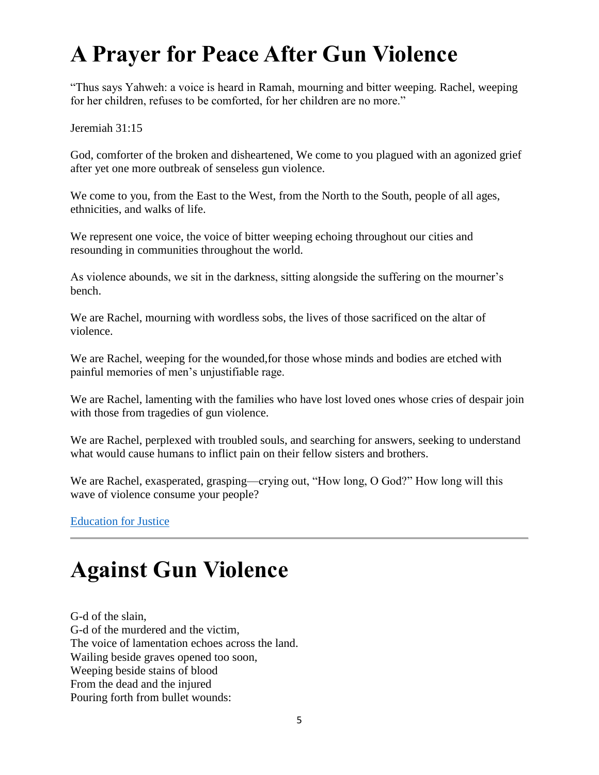## **A Prayer for Peace After Gun Violence**

"Thus says Yahweh: a voice is heard in Ramah, mourning and bitter weeping. Rachel, weeping for her children, refuses to be comforted, for her children are no more."

Jeremiah 31:15

God, comforter of the broken and disheartened, We come to you plagued with an agonized grief after yet one more outbreak of senseless gun violence.

We come to you, from the East to the West, from the North to the South, people of all ages, ethnicities, and walks of life.

We represent one voice, the voice of bitter weeping echoing throughout our cities and resounding in communities throughout the world.

As violence abounds, we sit in the darkness, sitting alongside the suffering on the mourner's bench.

We are Rachel, mourning with wordless sobs, the lives of those sacrificed on the altar of violence.

We are Rachel, weeping for the wounded,for those whose minds and bodies are etched with painful memories of men's unjustifiable rage.

We are Rachel, lamenting with the families who have lost loved ones whose cries of despair join with those from tragedies of gun violence.

We are Rachel, perplexed with troubled souls, and searching for answers, seeking to understand what would cause humans to inflict pain on their fellow sisters and brothers.

We are Rachel, exasperated, grasping—crying out, "How long, O God?" How long will this wave of violence consume your people?

[Education for Justice](https://educationforjustice.org/)

## **Against Gun Violence**

G-d of the slain, G-d of the murdered and the victim, The voice of lamentation echoes across the land. Wailing beside graves opened too soon, Weeping beside stains of blood From the dead and the injured Pouring forth from bullet wounds: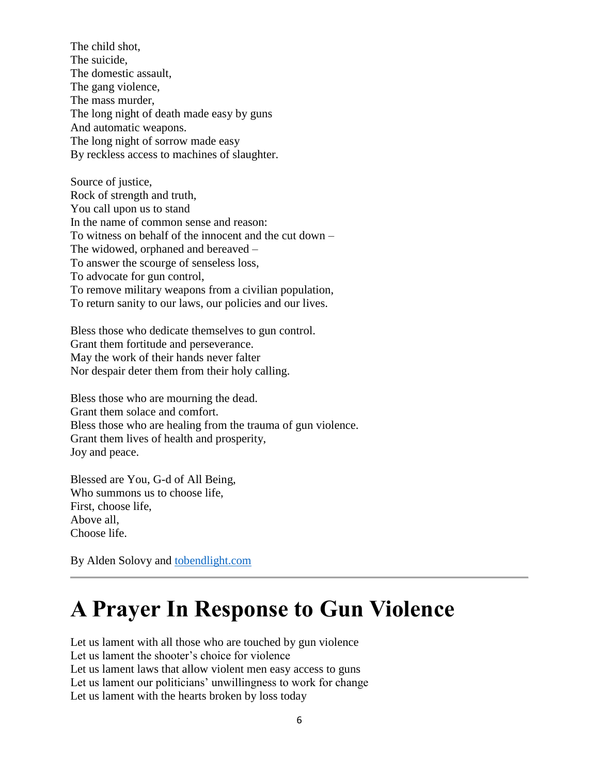The child shot, The suicide, The domestic assault, The gang violence, The mass murder, The long night of death made easy by guns And automatic weapons. The long night of sorrow made easy By reckless access to machines of slaughter.

Source of justice, Rock of strength and truth, You call upon us to stand In the name of common sense and reason: To witness on behalf of the innocent and the cut down – The widowed, orphaned and bereaved – To answer the scourge of senseless loss, To advocate for gun control, To remove military weapons from a civilian population, To return sanity to our laws, our policies and our lives.

Bless those who dedicate themselves to gun control. Grant them fortitude and perseverance. May the work of their hands never falter Nor despair deter them from their holy calling.

Bless those who are mourning the dead. Grant them solace and comfort. Bless those who are healing from the trauma of gun violence. Grant them lives of health and prosperity, Joy and peace.

Blessed are You, G-d of All Being, Who summons us to choose life, First, choose life, Above all, Choose life.

By Alden Solovy and [tobendlight.com](https://tobendlight.com/)

## **A Prayer In Response to Gun Violence**

Let us lament with all those who are touched by gun violence Let us lament the shooter's choice for violence Let us lament laws that allow violent men easy access to guns Let us lament our politicians' unwillingness to work for change Let us lament with the hearts broken by loss today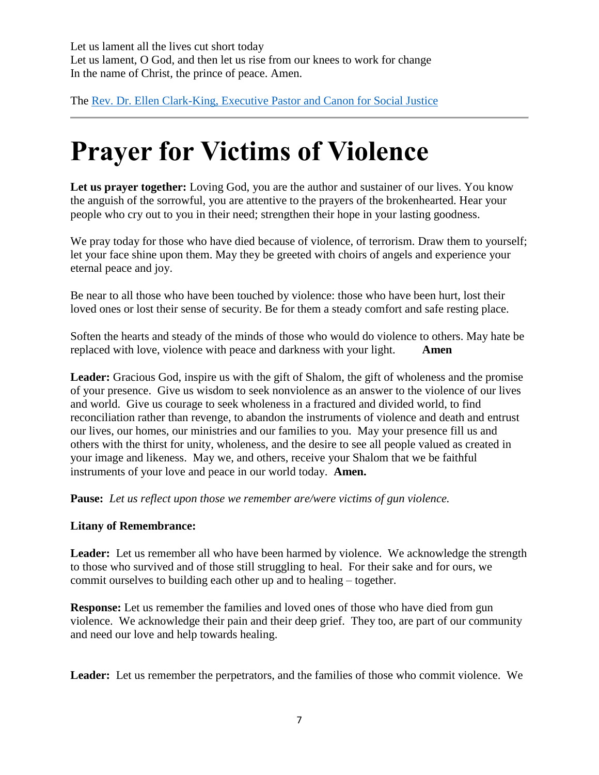Let us lament all the lives cut short today Let us lament, O God, and then let us rise from our knees to work for change In the name of Christ, the prince of peace. Amen.

The Rev. Dr. Ellen Clark-King, [Executive Pastor and Canon for Social Justice](https://gracecathedral.org/author/ellenck/page/2/)

# **Prayer for Victims of Violence**

Let us prayer together: Loving God, you are the author and sustainer of our lives. You know the anguish of the sorrowful, you are attentive to the prayers of the brokenhearted. Hear your people who cry out to you in their need; strengthen their hope in your lasting goodness.

We pray today for those who have died because of violence, of terrorism. Draw them to yourself; let your face shine upon them. May they be greeted with choirs of angels and experience your eternal peace and joy.

Be near to all those who have been touched by violence: those who have been hurt, lost their loved ones or lost their sense of security. Be for them a steady comfort and safe resting place.

Soften the hearts and steady of the minds of those who would do violence to others. May hate be replaced with love, violence with peace and darkness with your light. **Amen**

**Leader:** Gracious God, inspire us with the gift of Shalom, the gift of wholeness and the promise of your presence. Give us wisdom to seek nonviolence as an answer to the violence of our lives and world. Give us courage to seek wholeness in a fractured and divided world, to find reconciliation rather than revenge, to abandon the instruments of violence and death and entrust our lives, our homes, our ministries and our families to you. May your presence fill us and others with the thirst for unity, wholeness, and the desire to see all people valued as created in your image and likeness. May we, and others, receive your Shalom that we be faithful instruments of your love and peace in our world today. **Amen.**

**Pause:** *Let us reflect upon those we remember are/were victims of gun violence.*

#### **Litany of Remembrance:**

**Leader:** Let us remember all who have been harmed by violence. We acknowledge the strength to those who survived and of those still struggling to heal. For their sake and for ours, we commit ourselves to building each other up and to healing – together.

**Response:** Let us remember the families and loved ones of those who have died from gun violence. We acknowledge their pain and their deep grief. They too, are part of our community and need our love and help towards healing.

**Leader:** Let us remember the perpetrators, and the families of those who commit violence. We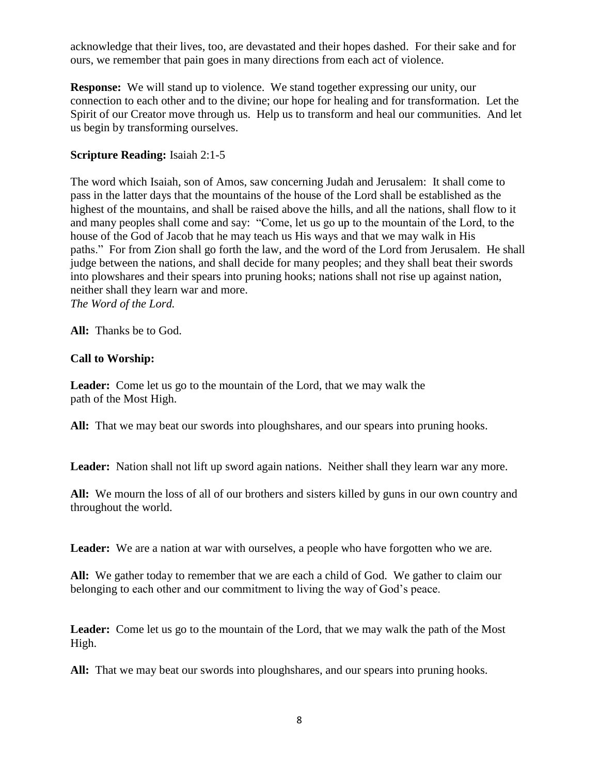acknowledge that their lives, too, are devastated and their hopes dashed. For their sake and for ours, we remember that pain goes in many directions from each act of violence.

**Response:** We will stand up to violence. We stand together expressing our unity, our connection to each other and to the divine; our hope for healing and for transformation. Let the Spirit of our Creator move through us. Help us to transform and heal our communities. And let us begin by transforming ourselves.

### **Scripture Reading:** Isaiah 2:1-5

The word which Isaiah, son of Amos, saw concerning Judah and Jerusalem: It shall come to pass in the latter days that the mountains of the house of the Lord shall be established as the highest of the mountains, and shall be raised above the hills, and all the nations, shall flow to it and many peoples shall come and say: "Come, let us go up to the mountain of the Lord, to the house of the God of Jacob that he may teach us His ways and that we may walk in His paths." For from Zion shall go forth the law, and the word of the Lord from Jerusalem. He shall judge between the nations, and shall decide for many peoples; and they shall beat their swords into plowshares and their spears into pruning hooks; nations shall not rise up against nation, neither shall they learn war and more. *The Word of the Lord.*

**All:** Thanks be to God.

### **Call to Worship:**

**Leader:** Come let us go to the mountain of the Lord, that we may walk the path of the Most High.

**All:** That we may beat our swords into ploughshares, and our spears into pruning hooks.

Leader: Nation shall not lift up sword again nations. Neither shall they learn war any more.

**All:** We mourn the loss of all of our brothers and sisters killed by guns in our own country and throughout the world.

Leader: We are a nation at war with ourselves, a people who have forgotten who we are.

**All:** We gather today to remember that we are each a child of God. We gather to claim our belonging to each other and our commitment to living the way of God's peace.

**Leader:** Come let us go to the mountain of the Lord, that we may walk the path of the Most High.

**All:** That we may beat our swords into ploughshares, and our spears into pruning hooks.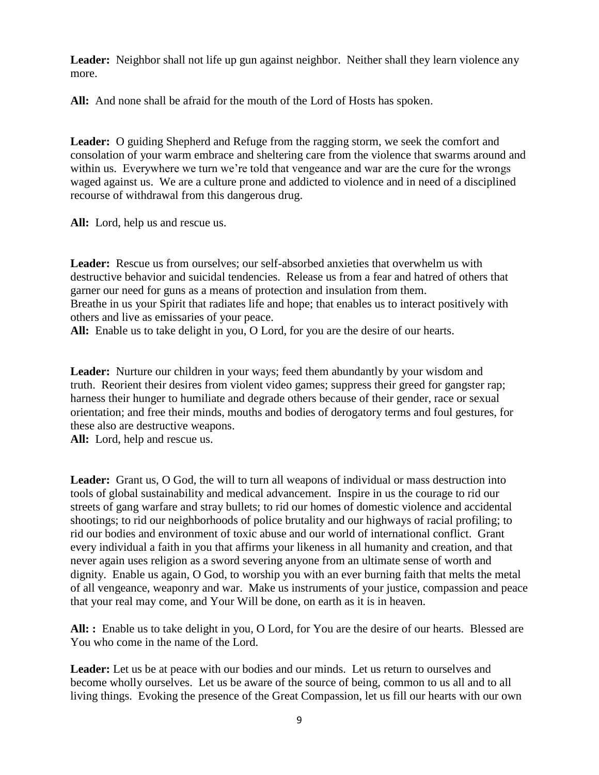Leader: Neighbor shall not life up gun against neighbor. Neither shall they learn violence any more.

**All:** And none shall be afraid for the mouth of the Lord of Hosts has spoken.

**Leader:** O guiding Shepherd and Refuge from the ragging storm, we seek the comfort and consolation of your warm embrace and sheltering care from the violence that swarms around and within us. Everywhere we turn we're told that vengeance and war are the cure for the wrongs waged against us. We are a culture prone and addicted to violence and in need of a disciplined recourse of withdrawal from this dangerous drug.

**All:** Lord, help us and rescue us.

**Leader:** Rescue us from ourselves; our self-absorbed anxieties that overwhelm us with destructive behavior and suicidal tendencies. Release us from a fear and hatred of others that garner our need for guns as a means of protection and insulation from them. Breathe in us your Spirit that radiates life and hope; that enables us to interact positively with others and live as emissaries of your peace.

**All:** Enable us to take delight in you, O Lord, for you are the desire of our hearts.

Leader: Nurture our children in your ways; feed them abundantly by your wisdom and truth. Reorient their desires from violent video games; suppress their greed for gangster rap; harness their hunger to humiliate and degrade others because of their gender, race or sexual orientation; and free their minds, mouths and bodies of derogatory terms and foul gestures, for these also are destructive weapons.

**All:** Lord, help and rescue us.

**Leader:** Grant us, O God, the will to turn all weapons of individual or mass destruction into tools of global sustainability and medical advancement. Inspire in us the courage to rid our streets of gang warfare and stray bullets; to rid our homes of domestic violence and accidental shootings; to rid our neighborhoods of police brutality and our highways of racial profiling; to rid our bodies and environment of toxic abuse and our world of international conflict. Grant every individual a faith in you that affirms your likeness in all humanity and creation, and that never again uses religion as a sword severing anyone from an ultimate sense of worth and dignity. Enable us again, O God, to worship you with an ever burning faith that melts the metal of all vengeance, weaponry and war. Make us instruments of your justice, compassion and peace that your real may come, and Your Will be done, on earth as it is in heaven.

**All: :** Enable us to take delight in you, O Lord, for You are the desire of our hearts. Blessed are You who come in the name of the Lord.

**Leader:** Let us be at peace with our bodies and our minds. Let us return to ourselves and become wholly ourselves. Let us be aware of the source of being, common to us all and to all living things. Evoking the presence of the Great Compassion, let us fill our hearts with our own